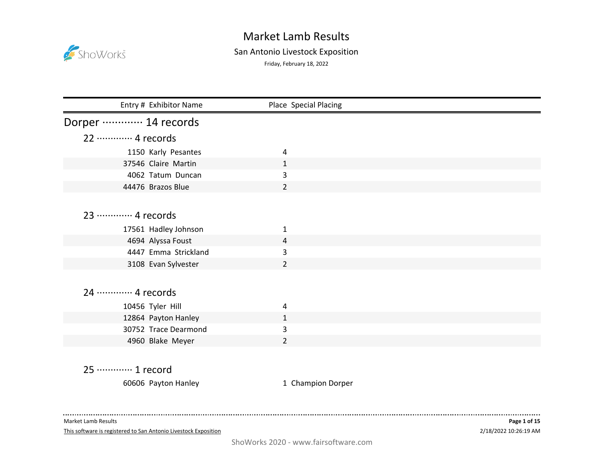

## San Antonio Livestock Exposition

Friday, February 18, 2022

| Entry # Exhibitor Name                      | Place Special Placing |  |
|---------------------------------------------|-----------------------|--|
| Dorper ………… 14 records                      |                       |  |
| 22 ………… 4 records                           |                       |  |
| 1150 Karly Pesantes                         | 4                     |  |
| 37546 Claire Martin                         | $\mathbf{1}$          |  |
| 4062 Tatum Duncan                           | 3                     |  |
| 44476 Brazos Blue                           | $\overline{2}$        |  |
|                                             |                       |  |
| 23 ………… 4 records                           |                       |  |
| 17561 Hadley Johnson                        | 1                     |  |
| 4694 Alyssa Foust                           | 4                     |  |
| 4447 Emma Strickland                        | 3                     |  |
| 3108 Evan Sylvester                         | $\overline{2}$        |  |
|                                             |                       |  |
| 24 ………… 4 records                           |                       |  |
|                                             |                       |  |
| 10456 Tyler Hill                            | 4<br>1                |  |
| 12864 Payton Hanley<br>30752 Trace Dearmond | 3                     |  |
| 4960 Blake Meyer                            | $\overline{2}$        |  |
|                                             |                       |  |
|                                             |                       |  |
| 25 ………… 1 record                            |                       |  |
| 60606 Payton Hanley                         | 1 Champion Dorper     |  |
|                                             |                       |  |

Market Lamb Results

. . . . . . . . . . . . . . . .

This software is registered to San Antonio Livestock Exposition

 $\sim$   $\sim$   $\sim$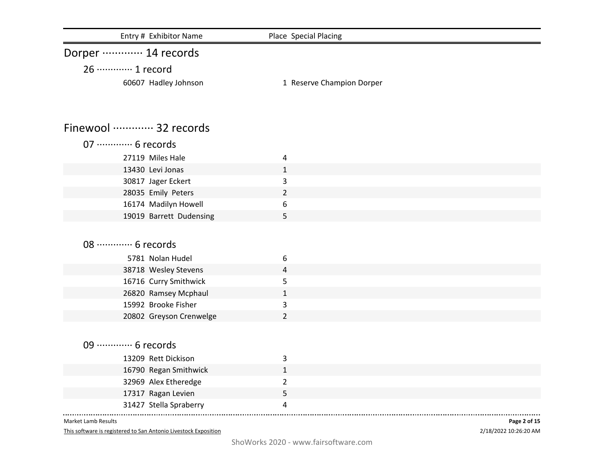| Entry # Exhibitor Name                       | Place Special Placing     |  |
|----------------------------------------------|---------------------------|--|
| Dorper ………… 14 records                       |                           |  |
| 26 ············· 1 record                    |                           |  |
| 60607 Hadley Johnson                         | 1 Reserve Champion Dorper |  |
| Finewool  32 records                         |                           |  |
| 07 ············· 6 records                   |                           |  |
| 27119 Miles Hale                             | 4                         |  |
| 13430 Levi Jonas                             | $\mathbf{1}$              |  |
| 30817 Jager Eckert                           | 3                         |  |
| 28035 Emily Peters                           | $\overline{2}$            |  |
| 16174 Madilyn Howell                         | 6                         |  |
| 19019 Barrett Dudensing                      | 5                         |  |
|                                              |                           |  |
| 08 ············· 6 records                   |                           |  |
| 5781 Nolan Hudel                             | 6                         |  |
| 38718 Wesley Stevens                         | 4                         |  |
| 16716 Curry Smithwick                        | 5                         |  |
| 26820 Ramsey Mcphaul<br>15992 Brooke Fisher  | $\mathbf{1}$              |  |
|                                              | 3<br>$\overline{2}$       |  |
| 20802 Greyson Crenwelge                      |                           |  |
| 09  6 records                                |                           |  |
|                                              |                           |  |
| 13209 Rett Dickison                          | 3                         |  |
| 16790 Regan Smithwick                        | $\mathbf{1}$              |  |
| 32969 Alex Etheredge                         | $\overline{2}$<br>5       |  |
| 17317 Ragan Levien<br>31427 Stella Spraberry | 4                         |  |
|                                              |                           |  |

This software is registered to San Antonio Livestock Exposition

2/18/2022 10:26:20 AM **Page 2 of 15**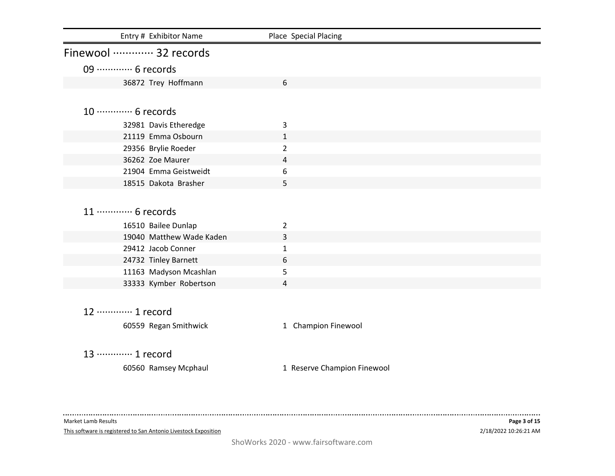| Entry # Exhibitor Name     | Place Special Placing       |  |
|----------------------------|-----------------------------|--|
| Finewool  32 records       |                             |  |
| 09  6 records              |                             |  |
| 36872 Trey Hoffmann        | 6                           |  |
|                            |                             |  |
| 10 ············· 6 records |                             |  |
| 32981 Davis Etheredge      | 3                           |  |
| 21119 Emma Osbourn         | $\mathbf{1}$                |  |
| 29356 Brylie Roeder        | $\overline{2}$              |  |
| 36262 Zoe Maurer           | 4                           |  |
| 21904 Emma Geistweidt      | 6                           |  |
| 18515 Dakota Brasher       | 5                           |  |
|                            |                             |  |
| 11 ············· 6 records |                             |  |
| 16510 Bailee Dunlap        | $\overline{2}$              |  |
| 19040 Matthew Wade Kaden   | 3                           |  |
| 29412 Jacob Conner         | $\mathbf{1}$                |  |
| 24732 Tinley Barnett       | 6                           |  |
| 11163 Madyson Mcashlan     | 5                           |  |
| 33333 Kymber Robertson     | 4                           |  |
|                            |                             |  |
| 12 ………… 1 record           |                             |  |
| 60559 Regan Smithwick      | 1 Champion Finewool         |  |
|                            |                             |  |
|                            |                             |  |
| 13 ………… 1 record           |                             |  |
| 60560 Ramsey Mcphaul       | 1 Reserve Champion Finewool |  |

This software is registered to San Antonio Livestock Exposition

. . . . .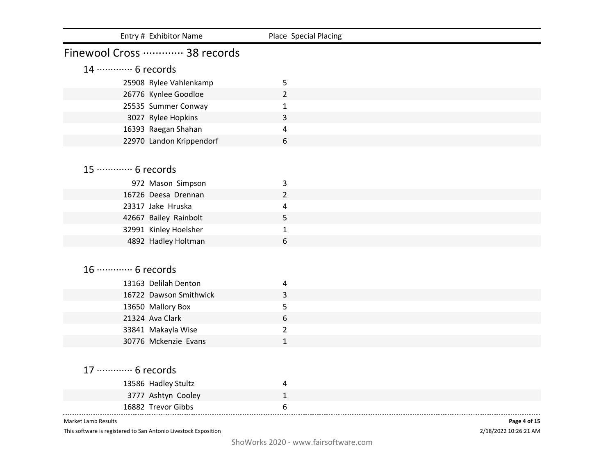| Entry # Exhibitor Name                   | Place Special Placing |
|------------------------------------------|-----------------------|
| Finewool Cross  38 records               |                       |
| 14 ………… 6 records                        |                       |
| 25908 Rylee Vahlenkamp                   | 5                     |
| 26776 Kynlee Goodloe                     | $\overline{2}$        |
| 25535 Summer Conway                      | $\mathbf{1}$          |
| 3027 Rylee Hopkins                       | 3                     |
| 16393 Raegan Shahan                      | 4                     |
| 22970 Landon Krippendorf                 | 6                     |
|                                          |                       |
| 15 ············· 6 records               |                       |
|                                          |                       |
| 972 Mason Simpson<br>16726 Deesa Drennan | 3                     |
| 23317 Jake Hruska                        | $\overline{2}$<br>4   |
| 42667 Bailey Rainbolt                    | 5                     |
| 32991 Kinley Hoelsher                    | 1                     |
| 4892 Hadley Holtman                      | 6                     |
|                                          |                       |
|                                          |                       |
| 16 ············· 6 records               |                       |
| 13163 Delilah Denton                     | 4                     |
| 16722 Dawson Smithwick                   | 3                     |
| 13650 Mallory Box                        | 5                     |
| 21324 Ava Clark                          | 6                     |
| 33841 Makayla Wise                       | $\overline{2}$        |
| 30776 Mckenzie Evans                     | $\mathbf{1}$          |
|                                          |                       |
| 17 ………… 6 records                        |                       |
| 13586 Hadley Stultz                      | 4                     |
| 3777 Ashtyn Cooley                       | $\mathbf{1}$          |
| 16882 Trevor Gibbs                       | 6                     |
| <b>Market Lamb Results</b>               | Page 4 of 15          |

This software is registered to San Antonio Livestock Exposition

2/18/2022 10:26:21 AM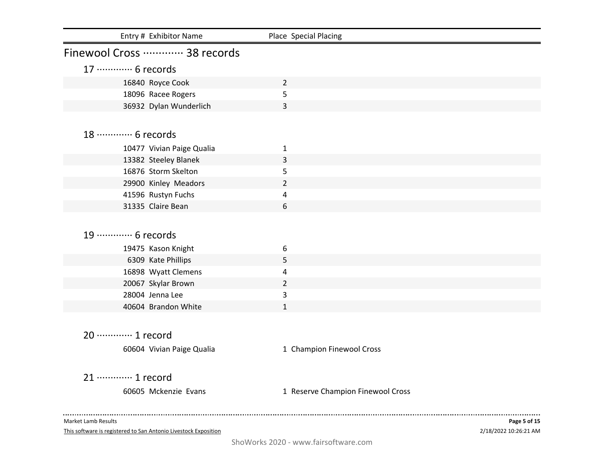| Entry # Exhibitor Name     | Place Special Placing             |  |
|----------------------------|-----------------------------------|--|
| Finewool Cross  38 records |                                   |  |
| 17 ………… 6 records          |                                   |  |
| 16840 Royce Cook           | $\overline{2}$                    |  |
| 18096 Racee Rogers         | 5                                 |  |
| 36932 Dylan Wunderlich     | 3                                 |  |
|                            |                                   |  |
| 18 ………… 6 records          |                                   |  |
| 10477 Vivian Paige Qualia  | 1                                 |  |
| 13382 Steeley Blanek       | 3                                 |  |
| 16876 Storm Skelton        | 5                                 |  |
| 29900 Kinley Meadors       | $\overline{2}$                    |  |
| 41596 Rustyn Fuchs         | 4                                 |  |
| 31335 Claire Bean          | 6                                 |  |
| 19 ………… 6 records          |                                   |  |
| 19475 Kason Knight         | 6                                 |  |
| 6309 Kate Phillips         | 5                                 |  |
| 16898 Wyatt Clemens        | 4                                 |  |
| 20067 Skylar Brown         | $\overline{2}$                    |  |
| 28004 Jenna Lee            | 3                                 |  |
| 40604 Brandon White        | $\mathbf{1}$                      |  |
|                            |                                   |  |
| 20 ············· 1 record  |                                   |  |
| 60604 Vivian Paige Qualia  | 1 Champion Finewool Cross         |  |
| 21 ………… 1 record           |                                   |  |
| 60605 Mckenzie Evans       | 1 Reserve Champion Finewool Cross |  |
|                            |                                   |  |
|                            |                                   |  |

This software is registered to San Antonio Livestock Exposition

2/18/2022 10:26:21 AM **Page 5 of 15**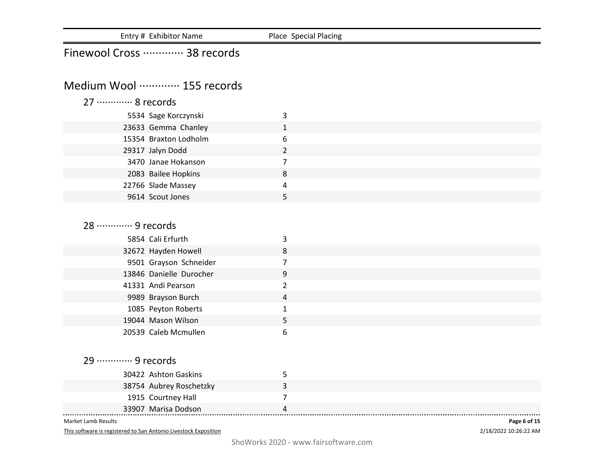| Entry # Exhibitor Name                            | Place Special Placing |  |
|---------------------------------------------------|-----------------------|--|
| Finewool Cross  38 records                        |                       |  |
|                                                   |                       |  |
| Medium Wool  155 records                          |                       |  |
| 27 ………… 8 records                                 |                       |  |
| 5534 Sage Korczynski                              | 3                     |  |
| 23633 Gemma Chanley                               | $\mathbf{1}$          |  |
| 15354 Braxton Lodholm                             | 6                     |  |
| 29317 Jalyn Dodd                                  | $\overline{2}$        |  |
| 3470 Janae Hokanson                               | $\overline{7}$        |  |
| 2083 Bailee Hopkins                               | 8                     |  |
| 22766 Slade Massey                                | $\pmb{4}$             |  |
| 9614 Scout Jones                                  | 5                     |  |
|                                                   |                       |  |
| 28 ………… 9 records                                 |                       |  |
|                                                   |                       |  |
| 5854 Cali Erfurth                                 | 3                     |  |
| 32672 Hayden Howell                               | 8                     |  |
| 9501 Grayson Schneider<br>13846 Danielle Durocher | $\overline{7}$<br>9   |  |
| 41331 Andi Pearson                                | $\overline{2}$        |  |
| 9989 Brayson Burch                                | 4                     |  |
| 1085 Peyton Roberts                               | $\mathbf{1}$          |  |
| 19044 Mason Wilson                                | 5                     |  |
| 20539 Caleb Mcmullen                              | 6                     |  |
|                                                   |                       |  |
|                                                   |                       |  |
| 29 ………… 9 records                                 |                       |  |
| 30422 Ashton Gaskins                              | 5                     |  |
| 38754 Aubrey Roschetzky                           | 3                     |  |
| 1915 Courtney Hall                                | $\overline{7}$        |  |
| 33907 Marisa Dodson                               | 4                     |  |

This software is registered to San Antonio Livestock Exposition

2/18/2022 10:26:22 AM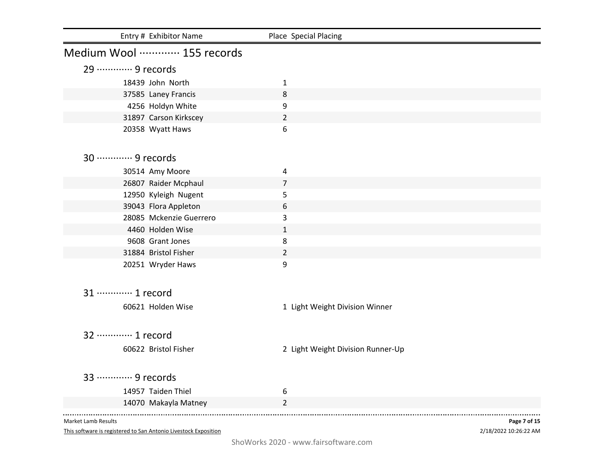| Entry # Exhibitor Name     | Place Special Placing             |  |
|----------------------------|-----------------------------------|--|
| Medium Wool  155 records   |                                   |  |
| 29 ………… 9 records          |                                   |  |
| 18439 John North           | $\mathbf{1}$                      |  |
| 37585 Laney Francis        | 8                                 |  |
| 4256 Holdyn White          | 9                                 |  |
| 31897 Carson Kirkscey      | $\overline{2}$                    |  |
| 20358 Wyatt Haws           | 6                                 |  |
| 30 ············· 9 records |                                   |  |
| 30514 Amy Moore            | 4                                 |  |
| 26807 Raider Mcphaul       | $\overline{7}$                    |  |
| 12950 Kyleigh Nugent       | 5                                 |  |
| 39043 Flora Appleton       | 6                                 |  |
| 28085 Mckenzie Guerrero    | 3                                 |  |
| 4460 Holden Wise           | $\mathbf{1}$                      |  |
| 9608 Grant Jones           | 8                                 |  |
| 31884 Bristol Fisher       | $\overline{2}$                    |  |
| 20251 Wryder Haws          | 9                                 |  |
| 31 ………… 1 record           |                                   |  |
|                            |                                   |  |
| 60621 Holden Wise          | 1 Light Weight Division Winner    |  |
| 32 ………… 1 record           |                                   |  |
| 60622 Bristol Fisher       | 2 Light Weight Division Runner-Up |  |
|                            |                                   |  |
| 33 ………… 9 records          |                                   |  |
| 14957 Taiden Thiel         | 6                                 |  |
| 14070 Makayla Matney       | $\overline{2}$                    |  |
|                            |                                   |  |

This software is registered to San Antonio Livestock Exposition

2/18/2022 10:26:22 AM **Page 7 of 15**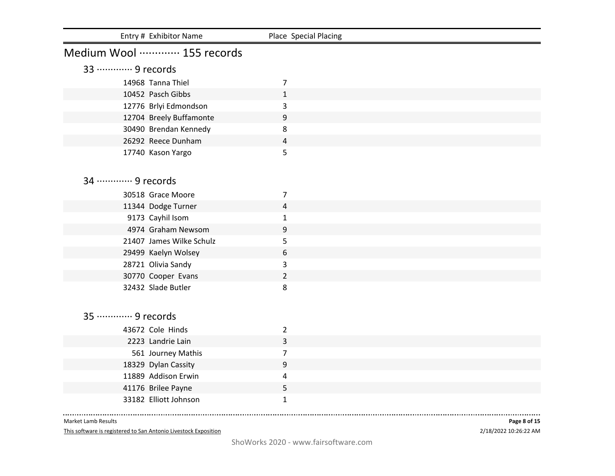|                   | Entry # Exhibitor Name                         | Place Special Placing |
|-------------------|------------------------------------------------|-----------------------|
|                   | Medium Wool  155 records                       |                       |
| 33 ………… 9 records |                                                |                       |
|                   | 14968 Tanna Thiel                              | 7                     |
|                   | 10452 Pasch Gibbs                              | $\mathbf{1}$          |
|                   | 12776 Brlyi Edmondson                          | 3                     |
|                   | 12704 Breely Buffamonte                        | 9                     |
|                   | 30490 Brendan Kennedy                          | 8                     |
|                   | 26292 Reece Dunham                             | 4                     |
|                   | 17740 Kason Yargo                              | 5                     |
|                   |                                                |                       |
| 34 ………… 9 records |                                                |                       |
|                   |                                                |                       |
|                   | 30518 Grace Moore                              | 7                     |
|                   | 11344 Dodge Turner                             | 4                     |
|                   | 9173 Cayhil Isom                               | 1                     |
|                   | 4974 Graham Newsom<br>21407 James Wilke Schulz | 9                     |
|                   |                                                | 5<br>6                |
|                   | 29499 Kaelyn Wolsey<br>28721 Olivia Sandy      | 3                     |
|                   | 30770 Cooper Evans                             | $\overline{2}$        |
|                   | 32432 Slade Butler                             | 8                     |
|                   |                                                |                       |
|                   |                                                |                       |
| 35 ………… 9 records |                                                |                       |
|                   | 43672 Cole Hinds                               | $\overline{2}$        |
|                   | 2223 Landrie Lain                              | 3                     |
|                   | 561 Journey Mathis                             | 7                     |
|                   | 18329 Dylan Cassity                            | 9                     |
|                   | 11889 Addison Erwin                            | 4                     |
|                   | 41176 Brilee Payne                             | 5                     |
|                   | 33182 Elliott Johnson                          | $\mathbf{1}$          |

............................ Market Lamb Results

This software is registered to San Antonio Livestock Exposition

2/18/2022 10:26:22 AM **Page 8 of 15**

. . . . . . .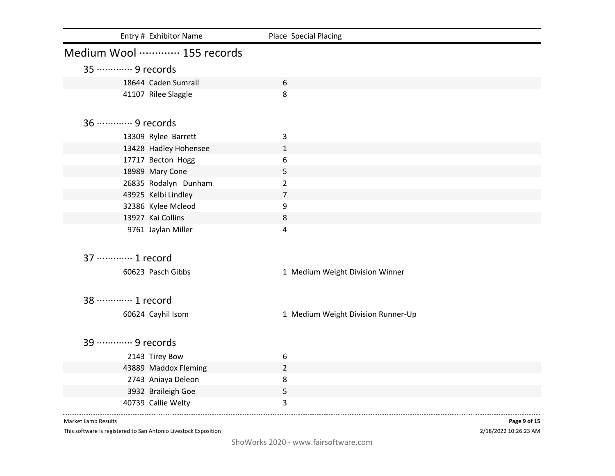|                            | Entry # Exhibitor Name | Place Special Placing              |
|----------------------------|------------------------|------------------------------------|
| Medium Wool  155 records   |                        |                                    |
| 35 ………… 9 records          |                        |                                    |
|                            | 18644 Caden Sumrall    | 6                                  |
|                            | 41107 Rilee Slaggle    | 8                                  |
| 36 ············· 9 records |                        |                                    |
|                            | 13309 Rylee Barrett    | 3                                  |
|                            | 13428 Hadley Hohensee  | $\mathbf{1}$                       |
|                            | 17717 Becton Hogg      | 6                                  |
|                            | 18989 Mary Cone        | 5                                  |
|                            | 26835 Rodalyn Dunham   | $\overline{2}$                     |
|                            | 43925 Kelbi Lindley    | $\overline{7}$                     |
|                            | 32386 Kylee Mcleod     | $\boldsymbol{9}$                   |
| 13927 Kai Collins          |                        | $\,8\,$                            |
|                            | 9761 Jaylan Miller     | 4                                  |
| 37 ………… 1 record           |                        |                                    |
|                            | 60623 Pasch Gibbs      | 1 Medium Weight Division Winner    |
| 38 ………… 1 record           |                        |                                    |
|                            | 60624 Cayhil Isom      | 1 Medium Weight Division Runner-Up |
| 39  9 records              |                        |                                    |
|                            | 2143 Tirey Bow         | 6                                  |
|                            | 43889 Maddox Fleming   | $\overline{2}$                     |
|                            | 2743 Aniaya Deleon     | $\,8\,$                            |
|                            | 3932 Braileigh Goe     | 5                                  |
|                            | 40739 Callie Welty     | 3                                  |

This software is registered to San Antonio Livestock Exposition

2/18/2022 10:26:23 AM **Page 9 of 15**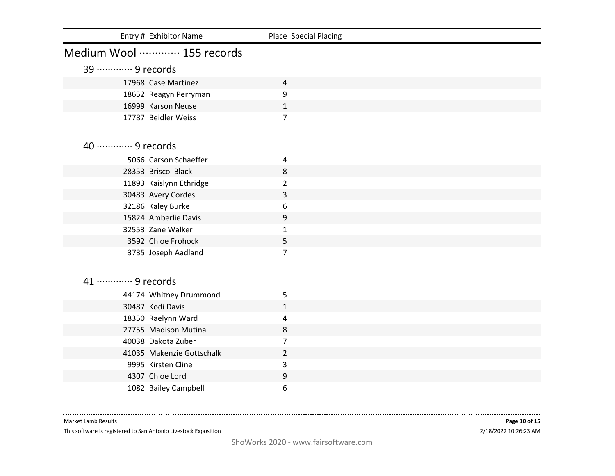| Entry # Exhibitor Name                     | Place Special Placing |
|--------------------------------------------|-----------------------|
| Medium Wool  155 records                   |                       |
| 39 ………… 9 records                          |                       |
| 17968 Case Martinez                        | 4                     |
| 18652 Reagyn Perryman                      | 9                     |
| 16999 Karson Neuse                         | $\mathbf{1}$          |
| 17787 Beidler Weiss                        | 7                     |
|                                            |                       |
| 40 ············· 9 records                 |                       |
| 5066 Carson Schaeffer                      |                       |
| 28353 Brisco Black                         | 4<br>8                |
| 11893 Kaislynn Ethridge                    | $\overline{2}$        |
| 30483 Avery Cordes                         | 3                     |
| 32186 Kaley Burke                          | 6                     |
| 15824 Amberlie Davis                       | 9                     |
| 32553 Zane Walker                          | 1                     |
| 3592 Chloe Frohock                         | 5                     |
| 3735 Joseph Aadland                        | $\overline{7}$        |
|                                            |                       |
| 41 ………… 9 records                          |                       |
|                                            |                       |
| 44174 Whitney Drummond<br>30487 Kodi Davis | 5<br>$\mathbf{1}$     |
| 18350 Raelynn Ward                         | 4                     |
| 27755 Madison Mutina                       | 8                     |
| 40038 Dakota Zuber                         | 7                     |
| 41035 Makenzie Gottschalk                  | $\overline{2}$        |
| 9995 Kirsten Cline                         | 3                     |
| 4307 Chloe Lord                            | 9                     |
| 1082 Bailey Campbell                       | 6                     |

----------------------------Market Lamb Results

This software is registered to San Antonio Livestock Exposition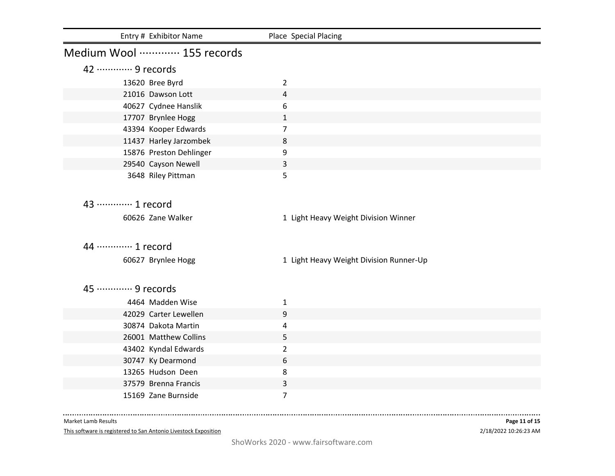| Entry # Exhibitor Name   | Place Special Placing                   |
|--------------------------|-----------------------------------------|
| Medium Wool  155 records |                                         |
| 42 ………… 9 records        |                                         |
| 13620 Bree Byrd          | $\overline{2}$                          |
| 21016 Dawson Lott        | 4                                       |
| 40627 Cydnee Hanslik     | 6                                       |
| 17707 Brynlee Hogg       | $\mathbf{1}$                            |
| 43394 Kooper Edwards     | $\overline{7}$                          |
| 11437 Harley Jarzombek   | 8                                       |
| 15876 Preston Dehlinger  | 9                                       |
| 29540 Cayson Newell      | 3                                       |
| 3648 Riley Pittman       | 5                                       |
|                          |                                         |
| 43 ………… 1 record         |                                         |
| 60626 Zane Walker        | 1 Light Heavy Weight Division Winner    |
|                          |                                         |
|                          |                                         |
| 44 ………… 1 record         |                                         |
| 60627 Brynlee Hogg       | 1 Light Heavy Weight Division Runner-Up |
|                          |                                         |
| 45 ………… 9 records        |                                         |
| 4464 Madden Wise         | $\mathbf{1}$                            |
| 42029 Carter Lewellen    | 9                                       |
| 30874 Dakota Martin      | 4                                       |
| 26001 Matthew Collins    | 5                                       |
| 43402 Kyndal Edwards     | $\overline{2}$                          |
| 30747 Ky Dearmond        | 6                                       |
| 13265 Hudson Deen        | 8                                       |
| 37579 Brenna Francis     | 3                                       |
| 15169 Zane Burnside      | $\overline{7}$                          |
|                          |                                         |

............................ Market Lamb Results

This software is registered to San Antonio Livestock Exposition

2/18/2022 10:26:23 AM **Page 11 of 15**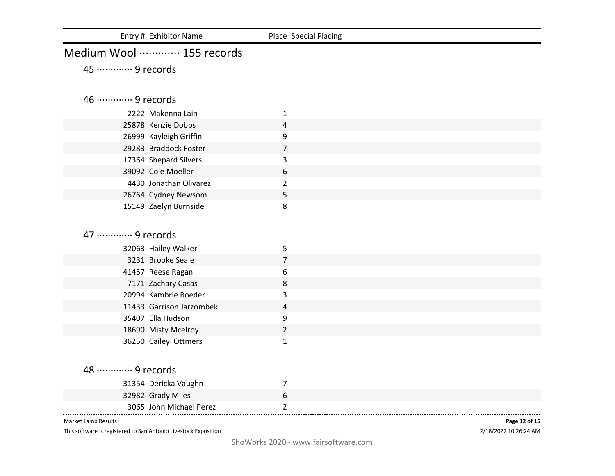| Entry # Exhibitor Name     | Place Special Placing |
|----------------------------|-----------------------|
| Medium Wool  155 records   |                       |
| 45 ………… 9 records          |                       |
|                            |                       |
| 46 ············· 9 records |                       |
| 2222 Makenna Lain          | 1                     |
| 25878 Kenzie Dobbs         | 4                     |
| 26999 Kayleigh Griffin     | 9                     |
| 29283 Braddock Foster      | $\overline{7}$        |
| 17364 Shepard Silvers      | 3                     |
| 39092 Cole Moeller         | 6                     |
| 4430 Jonathan Olivarez     | $\overline{2}$        |
| 26764 Cydney Newsom        | 5                     |
| 15149 Zaelyn Burnside      | 8                     |
|                            |                       |
| 47 ………… 9 records          |                       |
| 32063 Hailey Walker        | 5                     |
| 3231 Brooke Seale          | $\overline{7}$        |
| 41457 Reese Ragan          | 6                     |
| 7171 Zachary Casas         | 8                     |
| 20994 Kambrie Boeder       | 3                     |
| 11433 Garrison Jarzombek   | 4                     |
| 35407 Ella Hudson          | 9                     |
| 18690 Misty Mcelroy        | $\overline{2}$        |
| 36250 Cailey Ottmers       | 1                     |
|                            |                       |
| 48 ………… 9 records          |                       |
| 31354 Dericka Vaughn       | 7                     |
| 32982 Grady Miles          | 6                     |
| 3065 John Michael Perez    | $\overline{2}$        |
|                            |                       |

This software is registered to San Antonio Livestock Exposition

2/18/2022 10:26:24 AM **Page 12 of 15**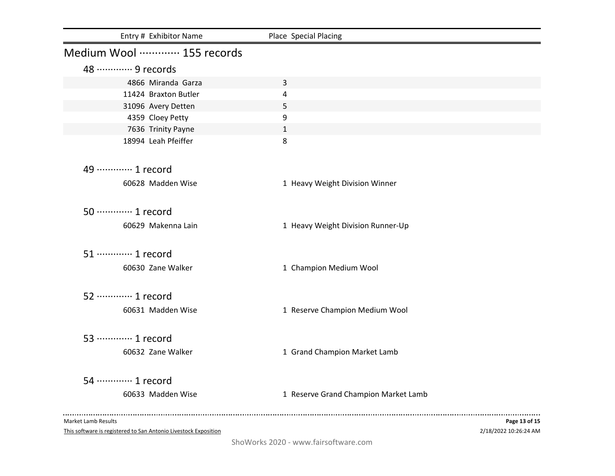| Entry # Exhibitor Name       | Place Special Placing                |
|------------------------------|--------------------------------------|
| Medium Wool ………… 155 records |                                      |
| 48 ………… 9 records            |                                      |
| 4866 Miranda Garza           | 3                                    |
| 11424 Braxton Butler         | 4                                    |
| 31096 Avery Detten           | 5                                    |
| 4359 Cloey Petty             | 9                                    |
| 7636 Trinity Payne           | $\mathbf{1}$                         |
| 18994 Leah Pfeiffer          | 8                                    |
| 49 ············· 1 record    |                                      |
| 60628 Madden Wise            | 1 Heavy Weight Division Winner       |
| 50 ············· 1 record    |                                      |
| 60629 Makenna Lain           | 1 Heavy Weight Division Runner-Up    |
| 51 ············· 1 record    |                                      |
| 60630 Zane Walker            | 1 Champion Medium Wool               |
| 52 ············· 1 record    |                                      |
| 60631 Madden Wise            | 1 Reserve Champion Medium Wool       |
| 53 ………… 1 record             |                                      |
| 60632 Zane Walker            | 1 Grand Champion Market Lamb         |
|                              |                                      |
| 54 ………… 1 record             |                                      |
| 60633 Madden Wise            | 1 Reserve Grand Champion Market Lamb |
|                              |                                      |

This software is registered to San Antonio Livestock Exposition

2/18/2022 10:26:24 AM **Page 13 of 15**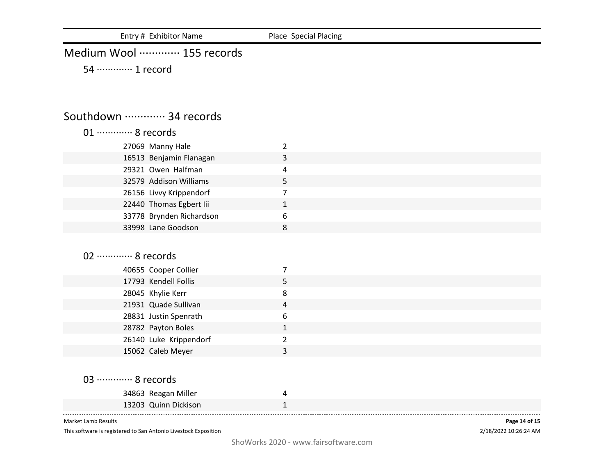Entry # Exhibitor Name Place Special Placing

## Medium Wool ·············· 155 records

54 ············· 1 record

## Southdown ·············· 34 records

| 01 ············· 8 records |                |
|----------------------------|----------------|
| 27069 Manny Hale           | $\overline{2}$ |
| 16513 Benjamin Flanagan    | 3              |
| 29321 Owen Halfman         | 4              |
| 32579 Addison Williams     | 5              |
| 26156 Livvy Krippendorf    | 7              |
| 22440 Thomas Egbert lii    | $\mathbf{1}$   |
| 33778 Brynden Richardson   | 6              |
| 33998 Lane Goodson         | 8              |
|                            |                |
| 02 ············· 8 records |                |
| 40655 Cooper Collier       | 7              |
| 17793 Kendell Follis       | 5              |
| 28045 Khylie Kerr          | 8              |
| 21931 Quade Sullivan       | 4              |
| 28831 Justin Spenrath      | 6              |
| 28782 Payton Boles         | $\mathbf{1}$   |
| 26140 Luke Krippendorf     | $\overline{2}$ |
| 15062 Caleb Meyer          | 3              |
|                            |                |
| 03 ………… 8 records          |                |
| 34863 Reagan Miller        | 4              |
| 13203 Quinn Dickison       | $\mathbf{1}$   |

Market Lamb Results

This software is registered to San Antonio Livestock Exposition

2/18/2022 10:26:24 AM **Page 14 of 15**